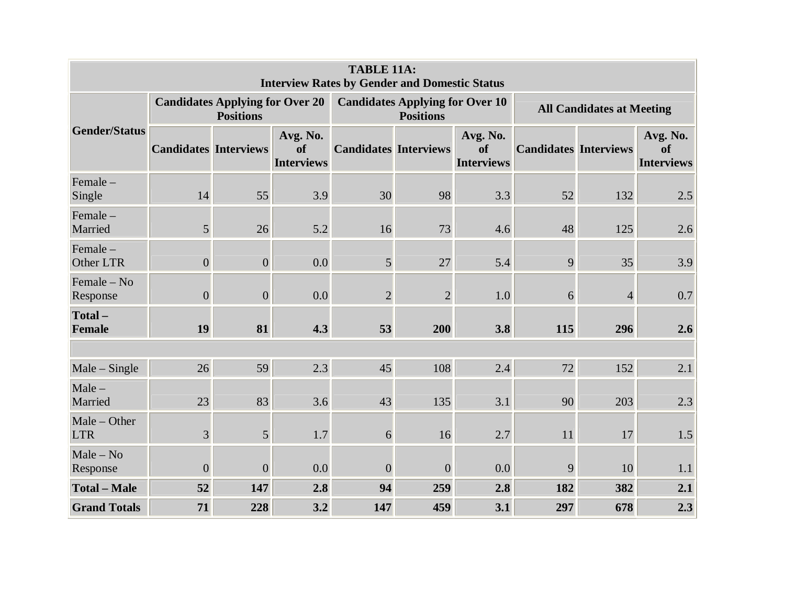| <b>TABLE 11A:</b><br><b>Interview Rates by Gender and Domestic Status</b> |                              |                                                            |                                     |                              |                                                            |                                     |                                  |                |                                     |  |  |
|---------------------------------------------------------------------------|------------------------------|------------------------------------------------------------|-------------------------------------|------------------------------|------------------------------------------------------------|-------------------------------------|----------------------------------|----------------|-------------------------------------|--|--|
| <b>Gender/Status</b>                                                      |                              | <b>Candidates Applying for Over 20</b><br><b>Positions</b> |                                     |                              | <b>Candidates Applying for Over 10</b><br><b>Positions</b> |                                     | <b>All Candidates at Meeting</b> |                |                                     |  |  |
|                                                                           | <b>Candidates Interviews</b> |                                                            | Avg. No.<br>of<br><b>Interviews</b> | <b>Candidates Interviews</b> |                                                            | Avg. No.<br>of<br><b>Interviews</b> | <b>Candidates Interviews</b>     |                | Avg. No.<br>of<br><b>Interviews</b> |  |  |
| $Female -$<br>Single                                                      | 14                           | 55                                                         | 3.9                                 | 30                           | 98                                                         | 3.3                                 | 52                               | 132            | 2.5                                 |  |  |
| Female-<br>Married                                                        | 5 <sup>1</sup>               | 26                                                         | 5.2                                 | 16                           | 73                                                         | 4.6                                 | 48                               | 125            | 2.6                                 |  |  |
| Female -<br>Other LTR                                                     | $\boldsymbol{0}$             | $\overline{0}$                                             | 0.0                                 | 5 <sup>1</sup>               | 27                                                         | 5.4                                 | 9                                | 35             | 3.9                                 |  |  |
| Female - No<br>Response                                                   | $\boldsymbol{0}$             | $\overline{0}$                                             | 0.0                                 | $\overline{2}$               | $\overline{2}$                                             | 1.0                                 | 6                                | $\overline{4}$ | 0.7                                 |  |  |
| Total-<br>Female                                                          | 19                           | 81                                                         | 4.3                                 | 53                           | 200                                                        | 3.8                                 | 115                              | 296            | 2.6                                 |  |  |
|                                                                           |                              |                                                            |                                     |                              |                                                            |                                     |                                  |                |                                     |  |  |
| $Male - Single$                                                           | 26                           | 59                                                         | 2.3                                 | 45                           | 108                                                        | 2.4                                 | 72                               | 152            | 2.1                                 |  |  |
| $Male -$<br>Married                                                       | 23                           | 83                                                         | 3.6                                 | 43                           | 135                                                        | 3.1                                 | 90                               | 203            | 2.3                                 |  |  |
| Male - Other<br><b>LTR</b>                                                | 3                            | $5\overline{)}$                                            | 1.7                                 | 6                            | 16                                                         | 2.7                                 | 11                               | 17             | 1.5                                 |  |  |
| $Male - No$<br>Response                                                   | $\boldsymbol{0}$             | $\overline{0}$                                             | 0.0                                 | $\overline{0}$               | $\overline{0}$                                             | 0.0                                 | 9                                | 10             | 1.1                                 |  |  |
| <b>Total - Male</b>                                                       | 52                           | 147                                                        | 2.8                                 | 94                           | 259                                                        | 2.8                                 | 182                              | 382            | 2.1                                 |  |  |
| <b>Grand Totals</b>                                                       | 71                           | 228                                                        | 3.2                                 | 147                          | 459                                                        | 3.1                                 | 297                              | 678            | 2.3                                 |  |  |